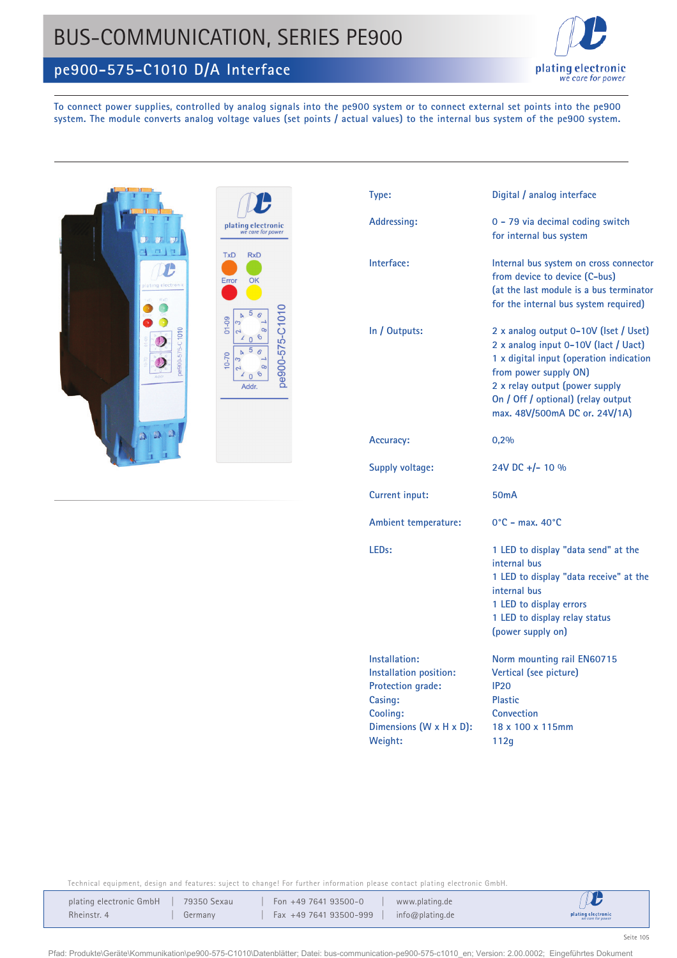## BUS-COMMUNICATION, SERIES PE900





**To connect power supplies, controlled by analog signals into the pe900 system or to connect external set points into the pe900 system. The module converts analog voltage values (set points / actual values) to the internal bus system of the pe900 system.**



| plating electronic<br>we care for power |                                                        |  |  |  |  |  |
|-----------------------------------------|--------------------------------------------------------|--|--|--|--|--|
| <b>TxD</b><br>Error                     | <b>RxD</b><br>OK                                       |  |  |  |  |  |
| $01 - 09$                               | Ь<br>۵<br>S<br>œ<br>$\overline{\phantom{0}}$<br>ର<br>Ω |  |  |  |  |  |
| $10 - 70$                               | Ы<br>œ<br>6<br>l<br>Addr.                              |  |  |  |  |  |
|                                         |                                                        |  |  |  |  |  |

| Type:                                                                                                                     | Digital / analog interface                                                                                                                                                                                                                                 |  |  |  |  |
|---------------------------------------------------------------------------------------------------------------------------|------------------------------------------------------------------------------------------------------------------------------------------------------------------------------------------------------------------------------------------------------------|--|--|--|--|
| Addressing:                                                                                                               | 0 - 79 via decimal coding switch<br>for internal bus system                                                                                                                                                                                                |  |  |  |  |
| Interface:                                                                                                                | Internal bus system on cross connector<br>from device to device (C-bus)<br>(at the last module is a bus terminator<br>for the internal bus system required)                                                                                                |  |  |  |  |
| In / Outputs:                                                                                                             | 2 x analog output 0-10V (Iset / Uset)<br>2 x analog input 0-10V (lact / Uact)<br>1 x digital input (operation indication<br>from power supply ON)<br>2 x relay output (power supply<br>On / Off / optional) (relay output<br>max. 48V/500mA DC or. 24V/1A) |  |  |  |  |
| Accuracy:                                                                                                                 | 0,2%                                                                                                                                                                                                                                                       |  |  |  |  |
| Supply voltage:                                                                                                           | 24V DC +/- 10 %                                                                                                                                                                                                                                            |  |  |  |  |
| Current input:                                                                                                            | 50 <sub>m</sub> A                                                                                                                                                                                                                                          |  |  |  |  |
| <b>Ambient temperature:</b>                                                                                               | $0^{\circ}$ C - max. 40 $^{\circ}$ C                                                                                                                                                                                                                       |  |  |  |  |
| LED <sub>s</sub> :                                                                                                        | 1 LED to display "data send" at the<br>internal bus<br>1 LED to display "data receive" at the<br>internal bus<br>1 LED to display errors<br>1 LED to display relay status<br>(power supply on)                                                             |  |  |  |  |
| Installation:<br>Installation position:<br>Protection grade:<br>Casing:<br>Cooling:<br>Dimensions (W x H x D):<br>Weight: | Norm mounting rail EN60715<br>Vertical (see picture)<br><b>IP20</b><br><b>Plastic</b><br>Convection<br>18 x 100 x 115mm<br>112g                                                                                                                            |  |  |  |  |

Technical equipment, design and features: suject to change! For further information please contact plating electronic GmbH.

| plating electronic GmbH | 79350 Sexau | Fon $+49$ 7641 93500-0 | www.plating.de  | $\boldsymbol{\mathcal{U}}$              |
|-------------------------|-------------|------------------------|-----------------|-----------------------------------------|
| Rheinstr. 4             | Germany     | Fax +49 7641 93500-999 | info@plating.de | plating electronic<br>we care for power |

Pfad: Produkte\Geräte\Kommunikation\pe900-575-C1010\Datenblätter; Datei: bus-communication-pe900-575-c1010\_en; Version: 2.00.0002; Eingeführtes Dokument